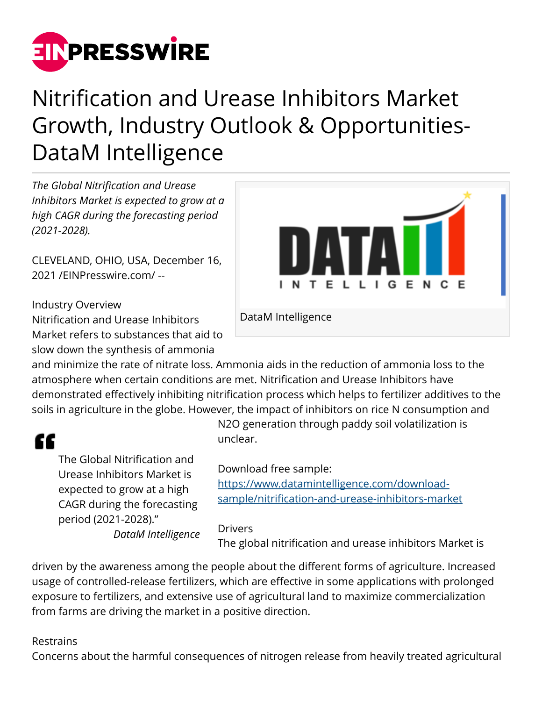

# Nitrification and Urease Inhibitors Market Growth, Industry Outlook & Opportunities-DataM Intelligence

*The Global Nitrification and Urease Inhibitors Market is expected to grow at a high CAGR during the forecasting period (2021-2028).*

CLEVELAND, OHIO, USA, December 16, 2021 /[EINPresswire.com](http://www.einpresswire.com)/ --

#### Industry Overview

Nitrification and Urease Inhibitors Market refers to substances that aid to slow down the synthesis of ammonia



DataM Intelligence

and minimize the rate of nitrate loss. Ammonia aids in the reduction of ammonia loss to the atmosphere when certain conditions are met. Nitrification and Urease Inhibitors have demonstrated effectively inhibiting nitrification process which helps to fertilizer additives to the soils in agriculture in the globe. However, the impact of inhibitors on rice N consumption and

# "

The Global Nitrification and Urease Inhibitors Market is expected to grow at a high CAGR during the forecasting period (2021-2028)." *DataM Intelligence* N2O generation through paddy soil volatilization is unclear.

Download free sample:

[https://www.datamintelligence.com/download](https://www.datamintelligence.com/download-sample/nitrification-and-urease-inhibitors-market)[sample/nitrification-and-urease-inhibitors-market](https://www.datamintelligence.com/download-sample/nitrification-and-urease-inhibitors-market)

#### Drivers

The global nitrification and urease inhibitors Market is

driven by the awareness among the people about the different forms of agriculture. Increased usage of controlled-release fertilizers, which are effective in some applications with prolonged exposure to fertilizers, and extensive use of agricultural land to maximize commercialization from farms are driving the market in a positive direction.

#### Restrains

Concerns about the harmful consequences of nitrogen release from heavily treated agricultural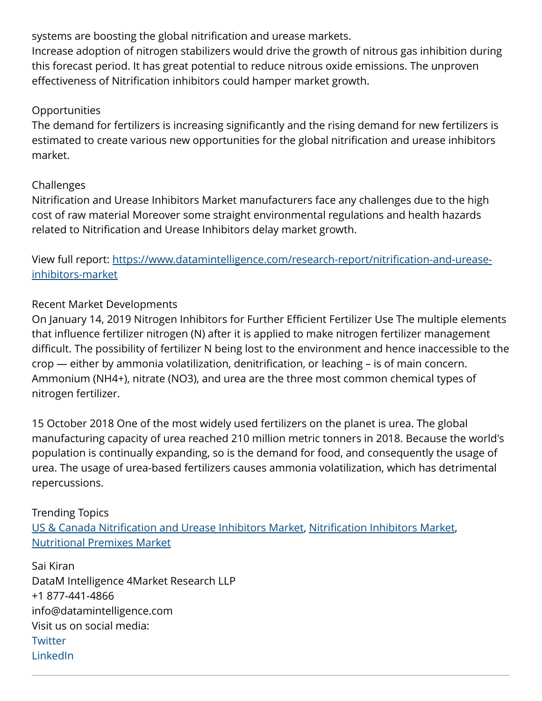systems are boosting the global nitrification and urease markets.

Increase adoption of nitrogen stabilizers would drive the growth of nitrous gas inhibition during this forecast period. It has great potential to reduce nitrous oxide emissions. The unproven effectiveness of Nitrification inhibitors could hamper market growth.

#### **Opportunities**

The demand for fertilizers is increasing significantly and the rising demand for new fertilizers is estimated to create various new opportunities for the global nitrification and urease inhibitors market.

#### Challenges

Nitrification and Urease Inhibitors Market manufacturers face any challenges due to the high cost of raw material Moreover some straight environmental regulations and health hazards related to Nitrification and Urease Inhibitors delay market growth.

View full report: [https://www.datamintelligence.com/research-report/nitrification-and-urease](https://www.datamintelligence.com/research-report/nitrification-and-urease-inhibitors-market)[inhibitors-market](https://www.datamintelligence.com/research-report/nitrification-and-urease-inhibitors-market)

### Recent Market Developments

On January 14, 2019 Nitrogen Inhibitors for Further Efficient Fertilizer Use The multiple elements that influence fertilizer nitrogen (N) after it is applied to make nitrogen fertilizer management difficult. The possibility of fertilizer N being lost to the environment and hence inaccessible to the crop — either by ammonia volatilization, denitrification, or leaching – is of main concern. Ammonium (NH4+), nitrate (NO3), and urea are the three most common chemical types of nitrogen fertilizer.

15 October 2018 One of the most widely used fertilizers on the planet is urea. The global manufacturing capacity of urea reached 210 million metric tonners in 2018. Because the world's population is continually expanding, so is the demand for food, and consequently the usage of urea. The usage of urea-based fertilizers causes ammonia volatilization, which has detrimental repercussions.

## Trending Topics [US & Canada Nitrification and Urease Inhibitors Market](https://www.datamintelligence.com/research-report/us-and-canada-nitrification-and-urease-inhibitors-market), [Nitrification Inhibitors Market,](https://www.datamintelligence.com/research-report/nitrification-inhibitors-market) [Nutritional Premixes Market](https://www.datamintelligence.com/research-report/nutritional-premixes-market)

Sai Kiran DataM Intelligence 4Market Research LLP +1 877-441-4866 info@datamintelligence.com Visit us on social media: **[Twitter](https://twitter.com/DataM_Research?ref_src=twsrc%5Egoogle%7Ctwcamp%5Eserp%7Ctwgr%5Eauthor)** [LinkedIn](https://www.linkedin.com/company/datam-intelligence-consultant-and-market-research-reports-provider/mycompany/)